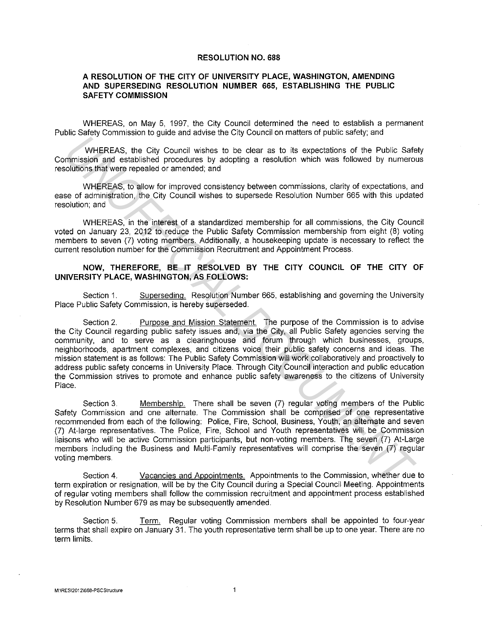## **RESOLUTION NO. 688**

## **A RESOLUTION OF THE CITY OF UNIVERSITY PLACE, WASHINGTON, AMENDING AND SUPERSEDING RESOLUTION NUMBER 665, ESTABLISHING THE PUBLIC SAFETY COMMISSION**

WHEREAS. on May 5, 1997, the City Council determined the need to establish a permanent Public Safety Commission to guide and advise the City Council on matters of public safety; and

WHEREAS, the City Council wishes to be clear as to its expectations of the Public Safety Commission and established procedures by adopting a resolution which was followed by numerous resolutions that were repealed or amended; and

WHEREAS, to allow for improved consistency between commissions, clarity of expectations, and ease of administration, the City Council wishes to supersede Resolution Number 665 with this updated resolution; and

WHEREAS, in the interest of a standardized membership for all commissions, the City Council voted on January 23, 2012 to reduce the Public Safety Commission membership from eight (8) voting members to seven (7) voting members. Additionally, a housekeeping update is necessary to reflect the current resolution number for the Commission Recruitment and Appointment Process.

## **NOW, THEREFORE, BE IT RESOLVED BY THE CITY COUNCIL OF THE CITY OF UNIVERSITY PLACE, WASHINGTON, AS FOLLOWS:**

Section 1. Superseding. Resolution Number 665, establishing and governing the University Place Public Safety Commission, is hereby superseded.

Section 2. Purpose and Mission Statement. The purpose of the Commission is to advise the City Council regarding public safety issues and, via the City, all Public Safety agencies serving the community, and to serve as a clearinghouse and forum through which businesses, groups, neighborhoods, apartment complexes, and citizens voice their public safety concerns and ideas. The mission statement is as follows: The Public Safety Commission will work collaboratively and proactively to address public safety concerns in University Place. Through City Council interaction and public education the Commission strives to promote and enhance public safety awareness to the citizens of University Place. WHEREAS, the City Council wishes to be clear as to its expectations of the Public Sate<br>
WHEREAS, the City Council wishes to be clear as to its expectations of the Public Sate<br>
conditions that were repeated or anemated, and

Section 3. Membership. There shall be seven (7) regular voting members of the Public Safety Commission and one alternate. The Commission shall be comprised of one representative recommended from each of the following: Police, Fire, School, Business, Youth, an alternate and seven (7) At-large representatives. The Police, Fire, School and Youth representatives will be Commission liaisons who will be active Commission participants, but non-voting members. The seven (7) At-Large members including the Business and Multi-Family representatives will comprise the seven (7) regular voting members.

Section 4. Vacancies and Appointments. Appointments to the Commission, whether due to term expiration or resignation, will be by the City Council during a Special Council Meeting. Appointments of regular voting members shall follow the commission recruitment and appointment process established by Resolution Number 679 as may be subsequently amended.

Section 5. Term. Regular voting Commission members shall be appointed to four-year terms that shall expire on January 31. The youth representative term shall be up to one year. There are no term limits.

 $\overline{1}$